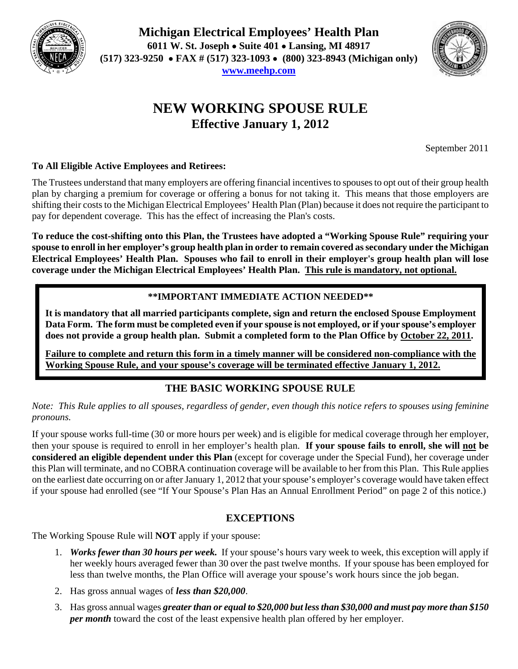

**Michigan Electrical Employees' Health Plan 6011 W. St. Joseph Suite 401 Lansing, MI 48917 (517) 323-9250 FAX # (517) 323-1093 (800) 323-8943 (Michigan only) www.meehp.com**



# **NEW WORKING SPOUSE RULE Effective January 1, 2012**

September 2011

### **To All Eligible Active Employees and Retirees:**

The Trustees understand that many employers are offering financial incentives to spouses to opt out of their group health plan by charging a premium for coverage or offering a bonus for not taking it. This means that those employers are shifting their costs to the Michigan Electrical Employees' Health Plan (Plan) because it does not require the participant to pay for dependent coverage. This has the effect of increasing the Plan's costs.

**To reduce the cost-shifting onto this Plan, the Trustees have adopted a "Working Spouse Rule" requiring your spouse to enroll in her employer's group health plan in order to remain covered as secondary under the Michigan Electrical Employees' Health Plan. Spouses who fail to enroll in their employer's group health plan will lose coverage under the Michigan Electrical Employees' Health Plan. This rule is mandatory, not optional.** 

## **\*\*IMPORTANT IMMEDIATE ACTION NEEDED\*\***

**It is mandatory that all married participants complete, sign and return the enclosed Spouse Employment Data Form. The form must be completed even if your spouse is not employed, or if your spouse's employer does not provide a group health plan. Submit a completed form to the Plan Office by October 22, 2011.** 

**Failure to complete and return this form in a timely manner will be considered non-compliance with the Working Spouse Rule, and your spouse's coverage will be terminated effective January 1, 2012.** 

## **THE BASIC WORKING SPOUSE RULE**

*Note: This Rule applies to all spouses, regardless of gender, even though this notice refers to spouses using feminine pronouns.* 

If your spouse works full-time (30 or more hours per week) and is eligible for medical coverage through her employer, then your spouse is required to enroll in her employer's health plan. **If your spouse fails to enroll, she will not be considered an eligible dependent under this Plan** (except for coverage under the Special Fund), her coverage under this Plan will terminate, and no COBRA continuation coverage will be available to her from this Plan. This Rule applies on the earliest date occurring on or after January 1, 2012 that your spouse's employer's coverage would have taken effect if your spouse had enrolled (see "If Your Spouse's Plan Has an Annual Enrollment Period" on page 2 of this notice.)

## **EXCEPTIONS**

The Working Spouse Rule will **NOT** apply if your spouse:

- 1. *Works fewer than 30 hours per week.* If your spouse's hours vary week to week, this exception will apply if her weekly hours averaged fewer than 30 over the past twelve months. If your spouse has been employed for less than twelve months, the Plan Office will average your spouse's work hours since the job began.
- 2. Has gross annual wages of *less than \$20,000*.
- 3. Has gross annual wages *greater than or equal to \$20,000 but less than \$30,000 and must pay more than \$150 per month* toward the cost of the least expensive health plan offered by her employer.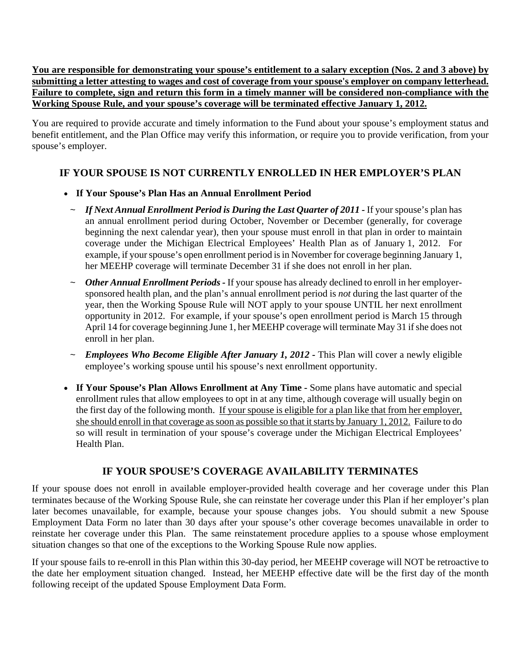**You are responsible for demonstrating your spouse's entitlement to a salary exception (Nos. 2 and 3 above) by submitting a letter attesting to wages and cost of coverage from your spouse's employer on company letterhead. Failure to complete, sign and return this form in a timely manner will be considered non-compliance with the Working Spouse Rule, and your spouse's coverage will be terminated effective January 1, 2012.**

You are required to provide accurate and timely information to the Fund about your spouse's employment status and benefit entitlement, and the Plan Office may verify this information, or require you to provide verification, from your spouse's employer.

## **IF YOUR SPOUSE IS NOT CURRENTLY ENROLLED IN HER EMPLOYER'S PLAN**

- **If Your Spouse's Plan Has an Annual Enrollment Period** 
	- ~ *If Next Annual Enrollment Period is During the Last Quarter of 2011 -* If your spouse's plan has an annual enrollment period during October, November or December (generally, for coverage beginning the next calendar year), then your spouse must enroll in that plan in order to maintain coverage under the Michigan Electrical Employees' Health Plan as of January 1, 2012. For example, if your spouse's open enrollment period is in November for coverage beginning January 1, her MEEHP coverage will terminate December 31 if she does not enroll in her plan.
	- ~ *Other Annual Enrollment Periods* If your spouse has already declined to enroll in her employersponsored health plan, and the plan's annual enrollment period is *not* during the last quarter of the year, then the Working Spouse Rule will NOT apply to your spouse UNTIL her next enrollment opportunity in 2012. For example, if your spouse's open enrollment period is March 15 through April 14 for coverage beginning June 1, her MEEHP coverage will terminate May 31 if she does not enroll in her plan.
	- ~ *Employees Who Become Eligible After January 1, 2012* This Plan will cover a newly eligible employee's working spouse until his spouse's next enrollment opportunity.
- **If Your Spouse's Plan Allows Enrollment at Any Time** Some plans have automatic and special enrollment rules that allow employees to opt in at any time, although coverage will usually begin on the first day of the following month. If your spouse is eligible for a plan like that from her employer, she should enroll in that coverage as soon as possible so that it starts by January 1, 2012. Failure to do so will result in termination of your spouse's coverage under the Michigan Electrical Employees' Health Plan.

### **IF YOUR SPOUSE'S COVERAGE AVAILABILITY TERMINATES**

If your spouse does not enroll in available employer-provided health coverage and her coverage under this Plan terminates because of the Working Spouse Rule, she can reinstate her coverage under this Plan if her employer's plan later becomes unavailable, for example, because your spouse changes jobs. You should submit a new Spouse Employment Data Form no later than 30 days after your spouse's other coverage becomes unavailable in order to reinstate her coverage under this Plan. The same reinstatement procedure applies to a spouse whose employment situation changes so that one of the exceptions to the Working Spouse Rule now applies.

If your spouse fails to re-enroll in this Plan within this 30-day period, her MEEHP coverage will NOT be retroactive to the date her employment situation changed. Instead, her MEEHP effective date will be the first day of the month following receipt of the updated Spouse Employment Data Form.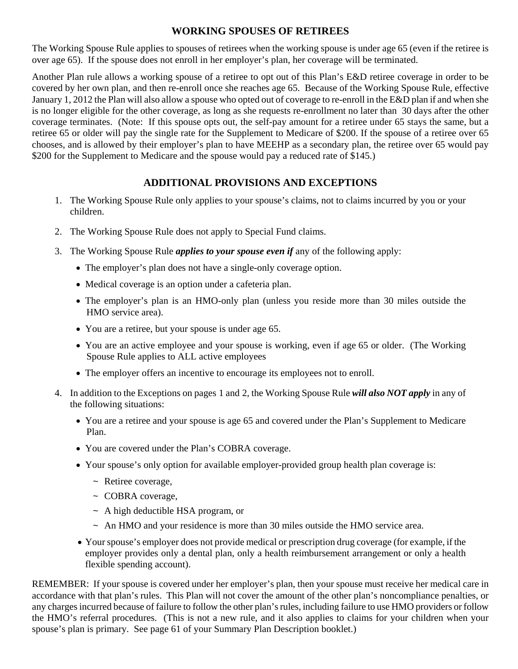#### **WORKING SPOUSES OF RETIREES**

The Working Spouse Rule applies to spouses of retirees when the working spouse is under age 65 (even if the retiree is over age 65). If the spouse does not enroll in her employer's plan, her coverage will be terminated.

Another Plan rule allows a working spouse of a retiree to opt out of this Plan's E&D retiree coverage in order to be covered by her own plan, and then re-enroll once she reaches age 65. Because of the Working Spouse Rule, effective January 1, 2012 the Plan will also allow a spouse who opted out of coverage to re-enroll in the E&D plan if and when she is no longer eligible for the other coverage, as long as she requests re-enrollment no later than 30 days after the other coverage terminates. (Note: If this spouse opts out, the self-pay amount for a retiree under 65 stays the same, but a retiree 65 or older will pay the single rate for the Supplement to Medicare of \$200. If the spouse of a retiree over 65 chooses, and is allowed by their employer's plan to have MEEHP as a secondary plan, the retiree over 65 would pay \$200 for the Supplement to Medicare and the spouse would pay a reduced rate of \$145.)

## **ADDITIONAL PROVISIONS AND EXCEPTIONS**

- 1. The Working Spouse Rule only applies to your spouse's claims, not to claims incurred by you or your children.
- 2. The Working Spouse Rule does not apply to Special Fund claims.
- 3. The Working Spouse Rule *applies to your spouse even if* any of the following apply:
	- The employer's plan does not have a single-only coverage option.
	- Medical coverage is an option under a cafeteria plan.
	- The employer's plan is an HMO-only plan (unless you reside more than 30 miles outside the HMO service area).
	- You are a retiree, but your spouse is under age 65.
	- You are an active employee and your spouse is working, even if age 65 or older. (The Working Spouse Rule applies to ALL active employees
	- The employer offers an incentive to encourage its employees not to enroll.
- 4. In addition to the Exceptions on pages 1 and 2, the Working Spouse Rule *will also NOT apply* in any of the following situations:
	- You are a retiree and your spouse is age 65 and covered under the Plan's Supplement to Medicare Plan.
	- You are covered under the Plan's COBRA coverage.
	- Your spouse's only option for available employer-provided group health plan coverage is:
		- ~ Retiree coverage,
		- ~ COBRA coverage,
		- ~ A high deductible HSA program, or
		- ~ An HMO and your residence is more than 30 miles outside the HMO service area.
	- Your spouse's employer does not provide medical or prescription drug coverage (for example, if the employer provides only a dental plan, only a health reimbursement arrangement or only a health flexible spending account).

REMEMBER: If your spouse is covered under her employer's plan, then your spouse must receive her medical care in accordance with that plan's rules. This Plan will not cover the amount of the other plan's noncompliance penalties, or any charges incurred because of failure to follow the other plan's rules, including failure to use HMO providers or follow the HMO's referral procedures. (This is not a new rule, and it also applies to claims for your children when your spouse's plan is primary. See page 61 of your Summary Plan Description booklet.)